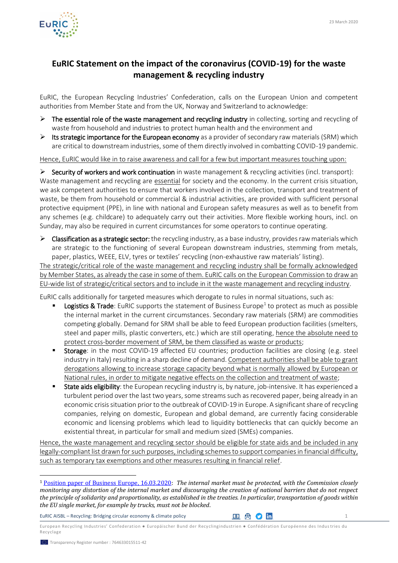

## **EuRIC Statement on the impact of the coronavirus (COVID-19) for the waste management & recycling industry**

EuRIC, the European Recycling Industries' Confederation, calls on the European Union and competent authorities from Member State and from the UK, Norway and Switzerland to acknowledge:

- $\triangleright$  The essential role of the waste management and recycling industry in collecting, sorting and recycling of waste from household and industries to protect human health and the environment and
- $\triangleright$  Its strategic importance for the European economy as a provider of secondary raw materials (SRM) which are critical to downstream industries, some of them directly involved in combatting COVID-19 pandemic.

Hence, EuRIC would like in to raise awareness and call for a few but important measures touching upon:

 $\triangleright$  Security of workers and work continuation in waste management & recycling activities (incl. transport): Waste management and recycling are essential for society and the economy. In the current crisis situation, we ask competent authorities to ensure that workers involved in the collection, transport and treatment of waste, be them from household or commercial & industrial activities, are provided with sufficient personal protective equipment (PPE), in line with national and European safety measures as well as to benefit from any schemes (e.g. childcare) to adequately carry out their activities. More flexible working hours, incl. on Sunday, may also be required in current circumstances for some operators to continue operating.

 $\triangleright$  Classification as a strategic sector: the recycling industry, as a base industry, provides raw materials which are strategic to the functioning of several European downstream industries, stemming from metals, paper, plastics, WEEE, ELV, tyres or textiles' recycling (non-exhaustive raw materials' listing).

The strategic/critical role of the waste management and recycling industry shall be formally acknowledged by Member States, as already the case in some of them. EuRIC calls on the European Commission to draw an EU-wide list of strategic/critical sectors and to include in it the waste management and recycling industry.

EuRIC calls additionally for targeted measures which derogate to rules in normal situations, such as:

- **Logistics & Trade**: EuRIC supports the statement of Business Europe<sup>1</sup> to protect as much as possible the internal market in the current circumstances. Secondary raw materials (SRM) are commodities competing globally. Demand for SRM shall be able to feed European production facilities (smelters, steel and paper mills, plastic converters, etc.) which are still operating, hence the absolute need to protect cross-border movement of SRM, be them classified as waste or products;
- **Storage:** in the most COVID-19 affected EU countries; production facilities are closing (e.g. steel industry in Italy) resulting in a sharp decline of demand. Competent authorities shall be able to grant derogations allowing to increase storage capacity beyond what is normally allowed by European or National rules, in order to mitigate negative effects on the collection and treatment of waste;
- State aids eligibility: the European recycling industry is, by nature, job-intensive. It has experienced a turbulent period over the last two years, some streams such as recovered paper, being already in an economic crisis situation prior to the outbreak of COVID-19 in Europe. A significant share of recycling companies, relying on domestic, European and global demand, are currently facing considerable economic and licensing problems which lead to liquidity bottlenecks that can quickly become an existential threat, in particular for small and medium sized (SMEs) companies.

Hence, the waste management and recycling sector should be eligible for state aids and be included in any legally-compliant list drawn for such purposes, including schemes to support companies in financial difficulty, such as temporary tax exemptions and other measures resulting in financial relief.

EuRIC AISBL – Recycling: Bridging circular economy & climate policy  $\Box$  (a)  $\Box$  (a)  $\Box$ 

European Recycling Industries' Confederation ● Europäischer Bund der Recyclingindustrien ● Confédération Européenne des Indus tries du Recyclage

l

<sup>1</sup> [Position paper of Business Europe, 16.03.2020:](https://www.businesseurope.eu/sites/buseur/files/media/position_papers/businesseurope_statement_on_covid19.pdf) *The internal market must be protected, with the Commission closely monitoring any distortion of the internal market and discouraging the creation of national barriers that do not respect the principle of solidarity and proportionality, as established in the treaties. In particular, transportation of goods within the EU single market, for example by trucks, must not be blocked*.